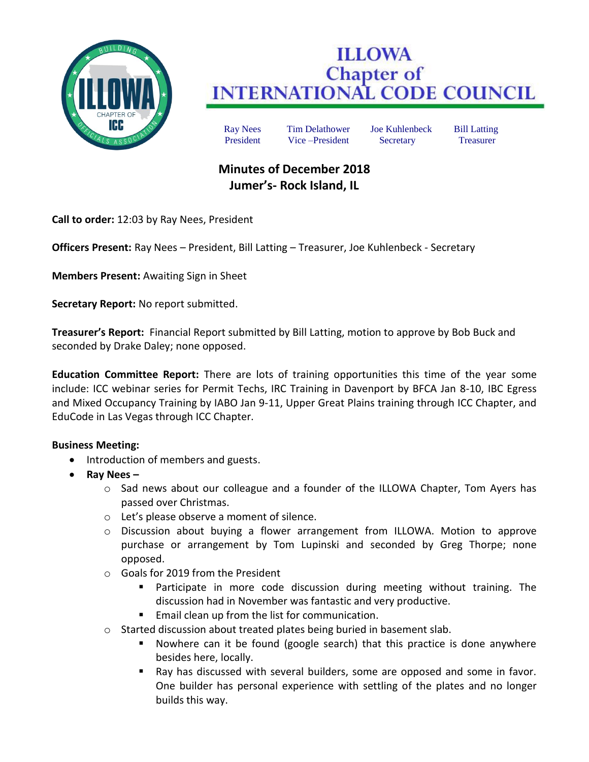

## **ILLOWA Chapter of INTERNATIONAL CODE COUNCIL**

Ray Nees Tim Delathower Joe Kuhlenbeck Bill Latting President Vice –President Secretary Treasurer

## **Minutes of December 2018 Jumer's- Rock Island, IL**

**Call to order:** 12:03 by Ray Nees, President

**Officers Present:** Ray Nees – President, Bill Latting – Treasurer, Joe Kuhlenbeck - Secretary

**Members Present:** Awaiting Sign in Sheet

**Secretary Report:** No report submitted.

**Treasurer's Report:** Financial Report submitted by Bill Latting, motion to approve by Bob Buck and seconded by Drake Daley; none opposed.

**Education Committee Report:** There are lots of training opportunities this time of the year some include: ICC webinar series for Permit Techs, IRC Training in Davenport by BFCA Jan 8-10, IBC Egress and Mixed Occupancy Training by IABO Jan 9-11, Upper Great Plains training through ICC Chapter, and EduCode in Las Vegas through ICC Chapter.

## **Business Meeting:**

- Introduction of members and guests.
- **Ray Nees –**
	- $\circ$  Sad news about our colleague and a founder of the ILLOWA Chapter, Tom Ayers has passed over Christmas.
	- o Let's please observe a moment of silence.
	- o Discussion about buying a flower arrangement from ILLOWA. Motion to approve purchase or arrangement by Tom Lupinski and seconded by Greg Thorpe; none opposed.
	- o Goals for 2019 from the President
		- **Participate in more code discussion during meeting without training. The** discussion had in November was fantastic and very productive.
		- Email clean up from the list for communication.
	- o Started discussion about treated plates being buried in basement slab.
		- Nowhere can it be found (google search) that this practice is done anywhere besides here, locally.
		- Ray has discussed with several builders, some are opposed and some in favor. One builder has personal experience with settling of the plates and no longer builds this way.